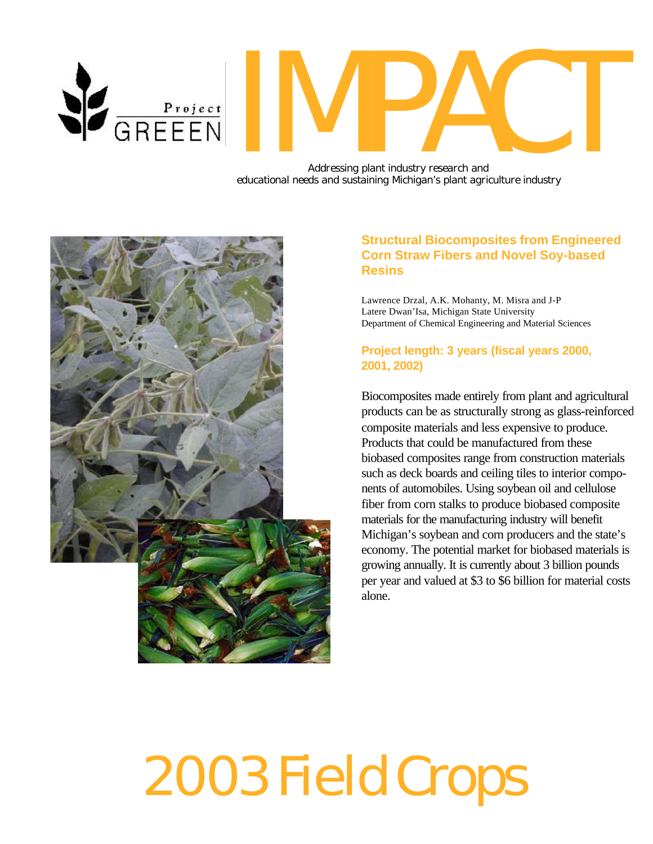

# MPACT

*Addressing plant industry research and educational needs and sustaining Michigan's plant agriculture industry*



## **Structural Biocomposites from Engineered Corn Straw Fibers and Novel Soy-based Resins**

Lawrence Drzal, A.K. Mohanty, M. Misra and J-P Latere Dwan'Isa, Michigan State University Department of Chemical Engineering and Material Sciences

## **Project length: 3 years (fiscal years 2000, 2001, 2002)**

Biocomposites made entirely from plant and agricultural products can be as structurally strong as glass-reinforced composite materials and less expensive to produce. Products that could be manufactured from these biobased composites range from construction materials such as deck boards and ceiling tiles to interior components of automobiles. Using soybean oil and cellulose fiber from corn stalks to produce biobased composite materials for the manufacturing industry will benefit Michigan's soybean and corn producers and the state's economy. The potential market for biobased materials is growing annually. It is currently about 3 billion pounds per year and valued at \$3 to \$6 billion for material costs alone.

# 2003 Field Crops